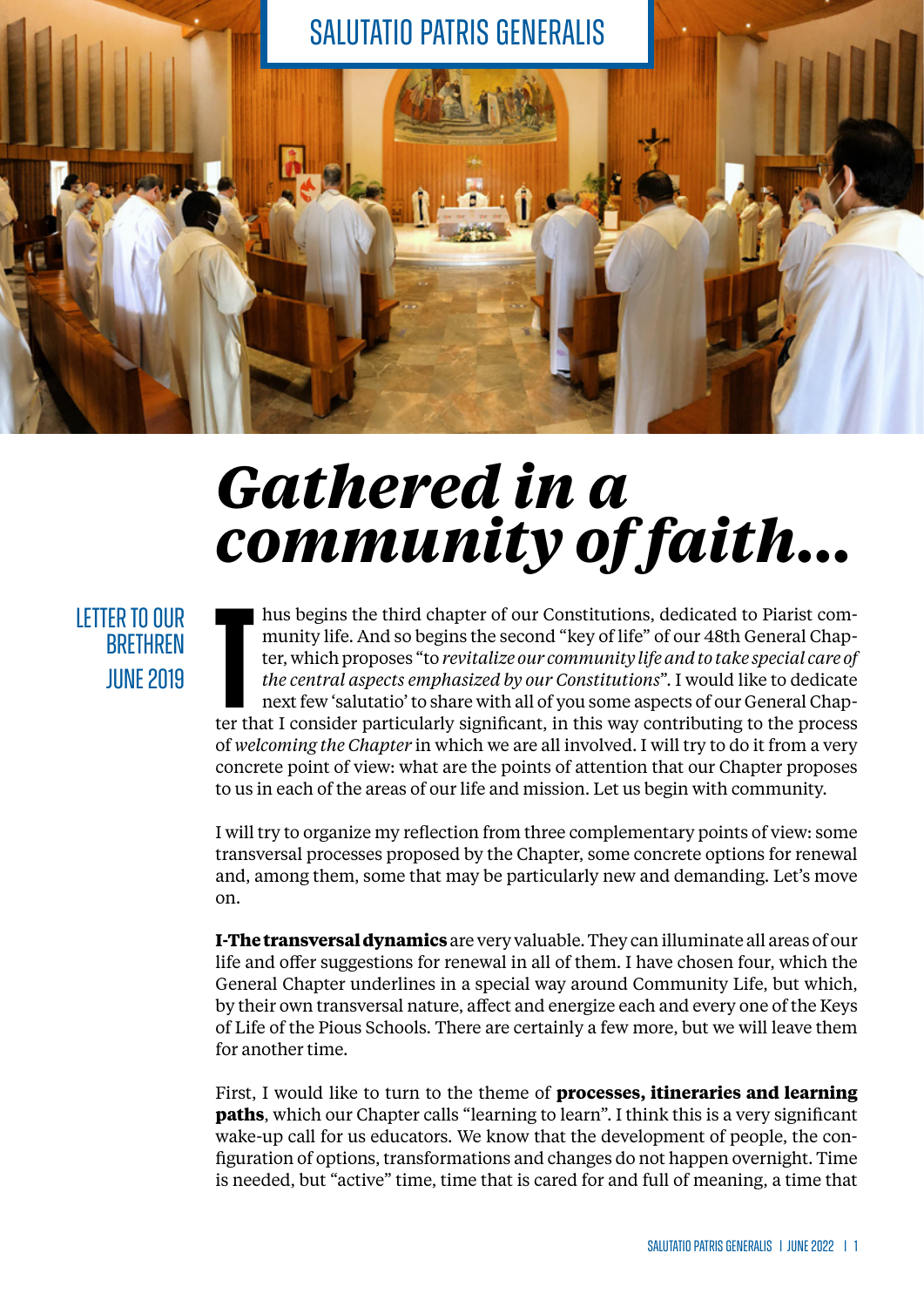

## *Gathered in a community of faith...*

LETTER TO OUR **BRETHREN IIINF 2019** 

hus begins the third chapter of our Constitutions, dedicated to Piarist community life. And so begins the second "key of life" of our 48th General Chapter, which proposes "to *revitalize our community life and to take spec* hus begins the third chapter of our Constitutions, dedicated to Piarist community life. And so begins the second "key of life" of our 48th General Chapter, which proposes "to *revitalize our community life and to take special care of the central aspects emphasized by our Constitutions*". I would like to dedicate next few 'salutatio' to share with all of you some aspects of our General Chapof *welcoming the Chapter* in which we are all involved. I will try to do it from a very concrete point of view: what are the points of attention that our Chapter proposes to us in each of the areas of our life and mission. Let us begin with community.

I will try to organize my reflection from three complementary points of view: some transversal processes proposed by the Chapter, some concrete options for renewal and, among them, some that may be particularly new and demanding. Let's move on.

**I-The transversal dynamics** are very valuable. They can illuminate all areas of our life and offer suggestions for renewal in all of them. I have chosen four, which the General Chapter underlines in a special way around Community Life, but which, by their own transversal nature, affect and energize each and every one of the Keys of Life of the Pious Schools. There are certainly a few more, but we will leave them for another time.

First, I would like to turn to the theme of **processes, itineraries and learning paths**, which our Chapter calls "learning to learn". I think this is a very significant wake-up call for us educators. We know that the development of people, the configuration of options, transformations and changes do not happen overnight. Time is needed, but "active" time, time that is cared for and full of meaning, a time that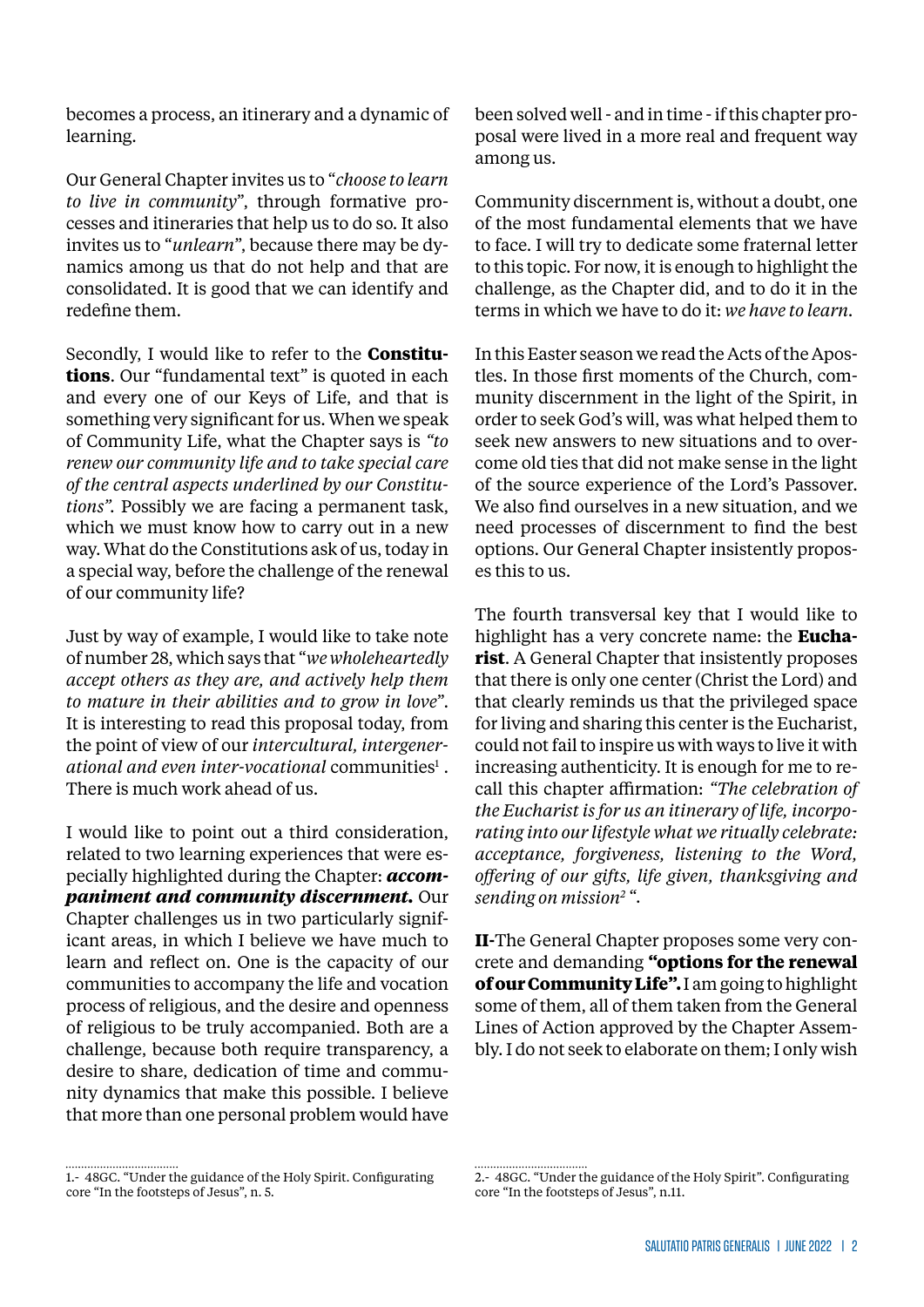becomes a process, an itinerary and a dynamic of learning.

Our General Chapter invites us to "*choose to learn to live in community*", through formative processes and itineraries that help us to do so. It also invites us to "*unlearn*", because there may be dynamics among us that do not help and that are consolidated. It is good that we can identify and redefine them.

Secondly, I would like to refer to the **Constitutions**. Our "fundamental text" is quoted in each and every one of our Keys of Life, and that is something very significant for us. When we speak of Community Life, what the Chapter says is *"to renew our community life and to take special care of the central aspects underlined by our Constitutions".* Possibly we are facing a permanent task, which we must know how to carry out in a new way. What do the Constitutions ask of us, today in a special way, before the challenge of the renewal of our community life?

Just by way of example, I would like to take note of number 28, which says that "*we wholeheartedly accept others as they are, and actively help them to mature in their abilities and to grow in love*". It is interesting to read this proposal today, from the point of view of our *intercultural, intergener*ational and even inter-vocational communities<sup>1</sup>. There is much work ahead of us.

I would like to point out a third consideration, related to two learning experiences that were especially highlighted during the Chapter: *accompaniment and community discernment.* Our Chapter challenges us in two particularly significant areas, in which I believe we have much to learn and reflect on. One is the capacity of our communities to accompany the life and vocation process of religious, and the desire and openness of religious to be truly accompanied. Both are a challenge, because both require transparency, a desire to share, dedication of time and community dynamics that make this possible. I believe that more than one personal problem would have

been solved well - and in time - if this chapter proposal were lived in a more real and frequent way among us.

Community discernment is, without a doubt, one of the most fundamental elements that we have to face. I will try to dedicate some fraternal letter to this topic. For now, it is enough to highlight the challenge, as the Chapter did, and to do it in the terms in which we have to do it: *we have to learn.*

In this Easter season we read the Acts of the Apostles. In those first moments of the Church, community discernment in the light of the Spirit, in order to seek God's will, was what helped them to seek new answers to new situations and to overcome old ties that did not make sense in the light of the source experience of the Lord's Passover. We also find ourselves in a new situation, and we need processes of discernment to find the best options. Our General Chapter insistently proposes this to us.

The fourth transversal key that I would like to highlight has a very concrete name: the **Eucharist**. A General Chapter that insistently proposes that there is only one center (Christ the Lord) and that clearly reminds us that the privileged space for living and sharing this center is the Eucharist, could not fail to inspire us with ways to live it with increasing authenticity. It is enough for me to recall this chapter affirmation: *"The celebration of the Eucharist is for us an itinerary of life, incorporating into our lifestyle what we ritually celebrate: acceptance, forgiveness, listening to the Word, offering of our gifts, life given, thanksgiving and sending on mission2* ".

**II-**The General Chapter proposes some very concrete and demanding **"options for the renewal of our Community Life".** I am going to highlight some of them, all of them taken from the General Lines of Action approved by the Chapter Assembly. I do not seek to elaborate on them; I only wish

<sup>1.- 48</sup>GC. "Under the guidance of the Holy Spirit. Configurating core "In the footsteps of Jesus", n. 5.

<sup>2.- 48</sup>GC. "Under the guidance of the Holy Spirit". Configurating core "In the footsteps of Jesus", n.11.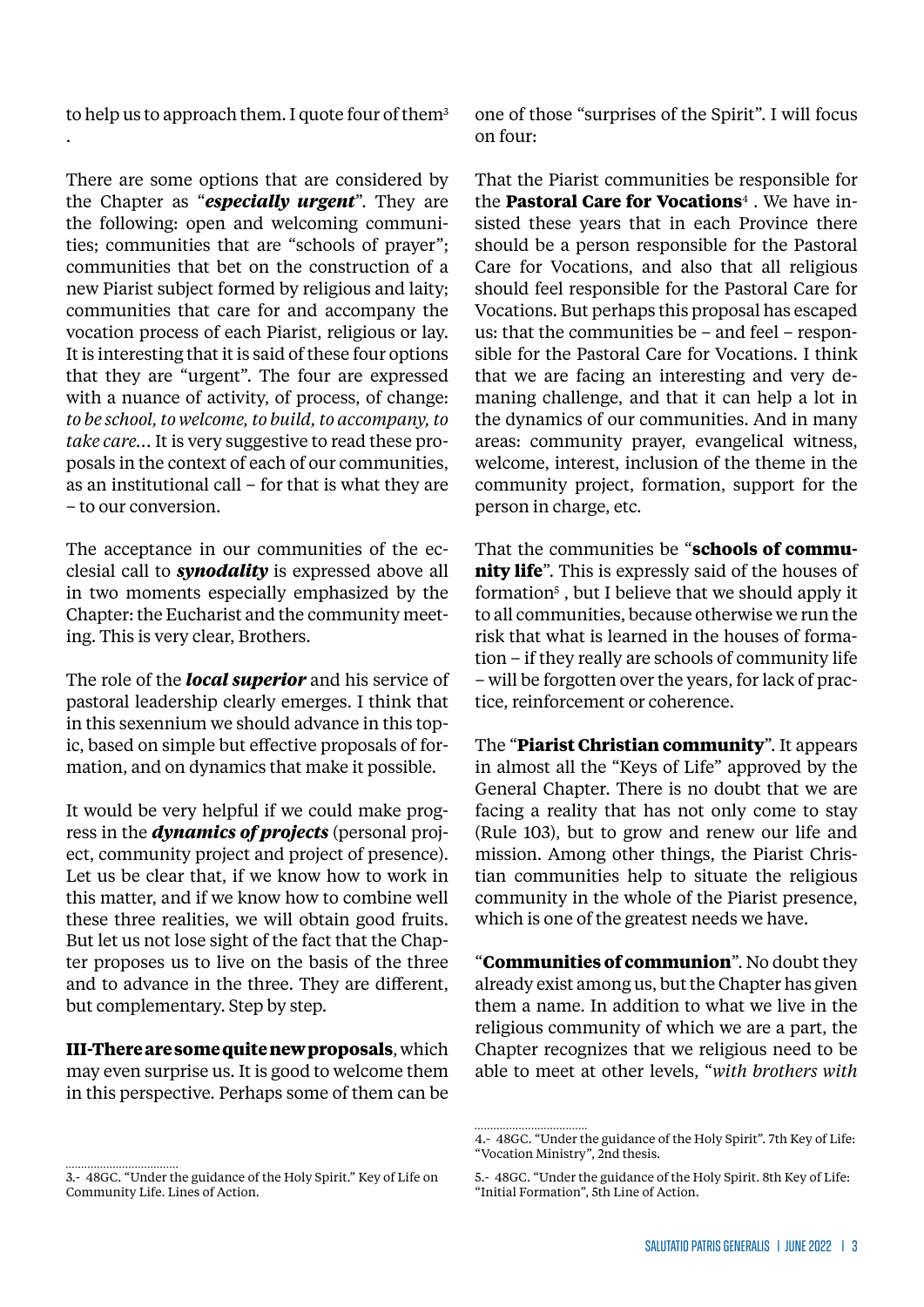to help us to approach them. I quote four of them<sup>3</sup>

.

There are some options that are considered by the Chapter as "*especially urgent*". They are the following: open and welcoming communities; communities that are "schools of prayer"; communities that bet on the construction of a new Piarist subject formed by religious and laity; communities that care for and accompany the vocation process of each Piarist, religious or lay. It is interesting that it is said of these four options that they are "urgent". The four are expressed with a nuance of activity, of process, of change: *to be school, to welcome, to build, to accompany, to take care...* It is very suggestive to read these proposals in the context of each of our communities, as an institutional call – for that is what they are – to our conversion.

The acceptance in our communities of the ecclesial call to *synodality* is expressed above all in two moments especially emphasized by the Chapter: the Eucharist and the community meeting. This is very clear, Brothers.

The role of the *local superior* and his service of pastoral leadership clearly emerges. I think that in this sexennium we should advance in this topic, based on simple but effective proposals of formation, and on dynamics that make it possible.

It would be very helpful if we could make progress in the *dynamics of projects* (personal project, community project and project of presence). Let us be clear that, if we know how to work in this matter, and if we know how to combine well these three realities, we will obtain good fruits. But let us not lose sight of the fact that the Chapter proposes us to live on the basis of the three and to advance in the three. They are different, but complementary. Step by step.

**III-There are some quite new proposals**, which may even surprise us. It is good to welcome them in this perspective. Perhaps some of them can be

one of those "surprises of the Spirit". I will focus on four:

That the Piarist communities be responsible for the **Pastoral Care for Vocations**4 . We have insisted these years that in each Province there should be a person responsible for the Pastoral Care for Vocations, and also that all religious should feel responsible for the Pastoral Care for Vocations. But perhaps this proposal has escaped us: that the communities be – and feel – responsible for the Pastoral Care for Vocations. I think that we are facing an interesting and very demaning challenge, and that it can help a lot in the dynamics of our communities. And in many areas: community prayer, evangelical witness, welcome, interest, inclusion of the theme in the community project, formation, support for the person in charge, etc.

That the communities be "**schools of community life**". This is expressly said of the houses of formation<sup>5</sup>, but I believe that we should apply it to all communities, because otherwise we run the risk that what is learned in the houses of formation – if they really are schools of community life – will be forgotten over the years, for lack of practice, reinforcement or coherence.

The "**Piarist Christian community**". It appears in almost all the "Keys of Life" approved by the General Chapter. There is no doubt that we are facing a reality that has not only come to stay (Rule 103), but to grow and renew our life and mission. Among other things, the Piarist Christian communities help to situate the religious community in the whole of the Piarist presence, which is one of the greatest needs we have.

"**Communities of communion**". No doubt they already exist among us, but the Chapter has given them a name. In addition to what we live in the religious community of which we are a part, the Chapter recognizes that we religious need to be able to meet at other levels, "*with brothers with* 

<sup>3.- 48</sup>GC. "Under the guidance of the Holy Spirit." Key of Life on Community Life. Lines of Action.

<sup>4.- 48</sup>GC. "Under the guidance of the Holy Spirit". 7th Key of Life: "Vocation Ministry", 2nd thesis.

<sup>5.- 48</sup>GC. "Under the guidance of the Holy Spirit. 8th Key of Life: "Initial Formation", 5th Line of Action.